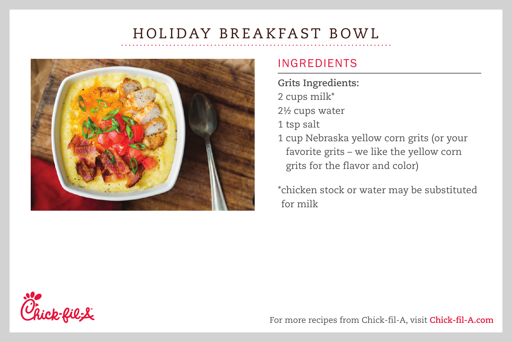# HOLIDAY BREAKFAST BOWL



### INGREDIENTS

**Grits Ingredients:** 2 cups milk\* 2½ cups water 1 tsp salt 1 cup Nebraska yellow corn grits (or your favorite grits – we like the yellow corn grits for the flavor and color)

\*chicken stock or water may be substituted for milk



For more recipes from Chick-fil-A, visit **Chick-fil-A.com**